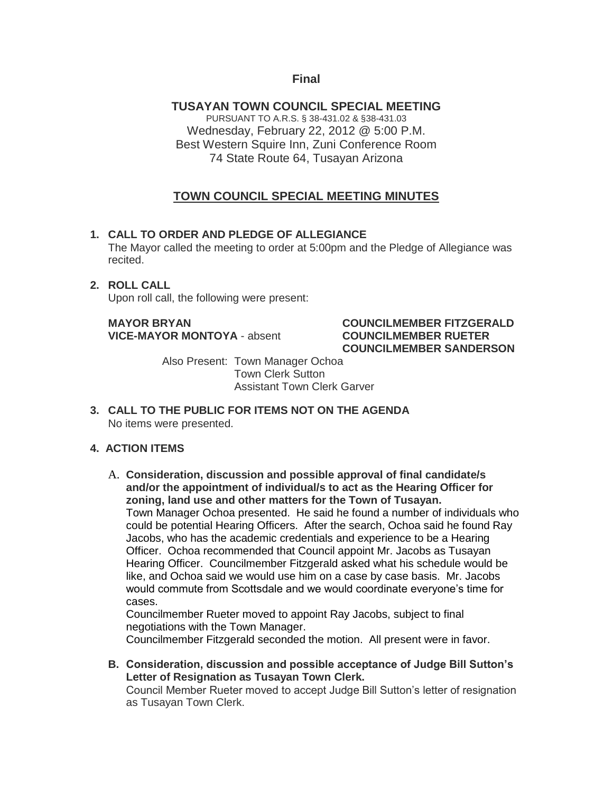## **Final**

**TUSAYAN TOWN COUNCIL SPECIAL MEETING** PURSUANT TO A.R.S. § 38-431.02 & §38-431.03 Wednesday, February 22, 2012 @ 5:00 P.M. Best Western Squire Inn, Zuni Conference Room 74 State Route 64, Tusayan Arizona

## **TOWN COUNCIL SPECIAL MEETING MINUTES**

## **1. CALL TO ORDER AND PLEDGE OF ALLEGIANCE**

The Mayor called the meeting to order at 5:00pm and the Pledge of Allegiance was recited.

#### **2. ROLL CALL** Upon roll call, the following were present:

**VICE-MAYOR MONTOYA** - absent **COUNCILMEMBER RUETER**

# **MAYOR BRYAN COUNCILMEMBER FITZGERALD COUNCILMEMBER SANDERSON**

Also Present: Town Manager Ochoa Town Clerk Sutton Assistant Town Clerk Garver

**3. CALL TO THE PUBLIC FOR ITEMS NOT ON THE AGENDA**  No items were presented.

## **4. ACTION ITEMS**

A. **Consideration, discussion and possible approval of final candidate/s and/or the appointment of individual/s to act as the Hearing Officer for zoning, land use and other matters for the Town of Tusayan.** Town Manager Ochoa presented. He said he found a number of individuals who could be potential Hearing Officers. After the search, Ochoa said he found Ray Jacobs, who has the academic credentials and experience to be a Hearing Officer. Ochoa recommended that Council appoint Mr. Jacobs as Tusayan Hearing Officer. Councilmember Fitzgerald asked what his schedule would be like, and Ochoa said we would use him on a case by case basis. Mr. Jacobs would commute from Scottsdale and we would coordinate everyone's time for cases.

Councilmember Rueter moved to appoint Ray Jacobs, subject to final negotiations with the Town Manager.

Councilmember Fitzgerald seconded the motion. All present were in favor.

**B. Consideration, discussion and possible acceptance of Judge Bill Sutton's Letter of Resignation as Tusayan Town Clerk.** Council Member Rueter moved to accept Judge Bill Sutton's letter of resignation as Tusayan Town Clerk.